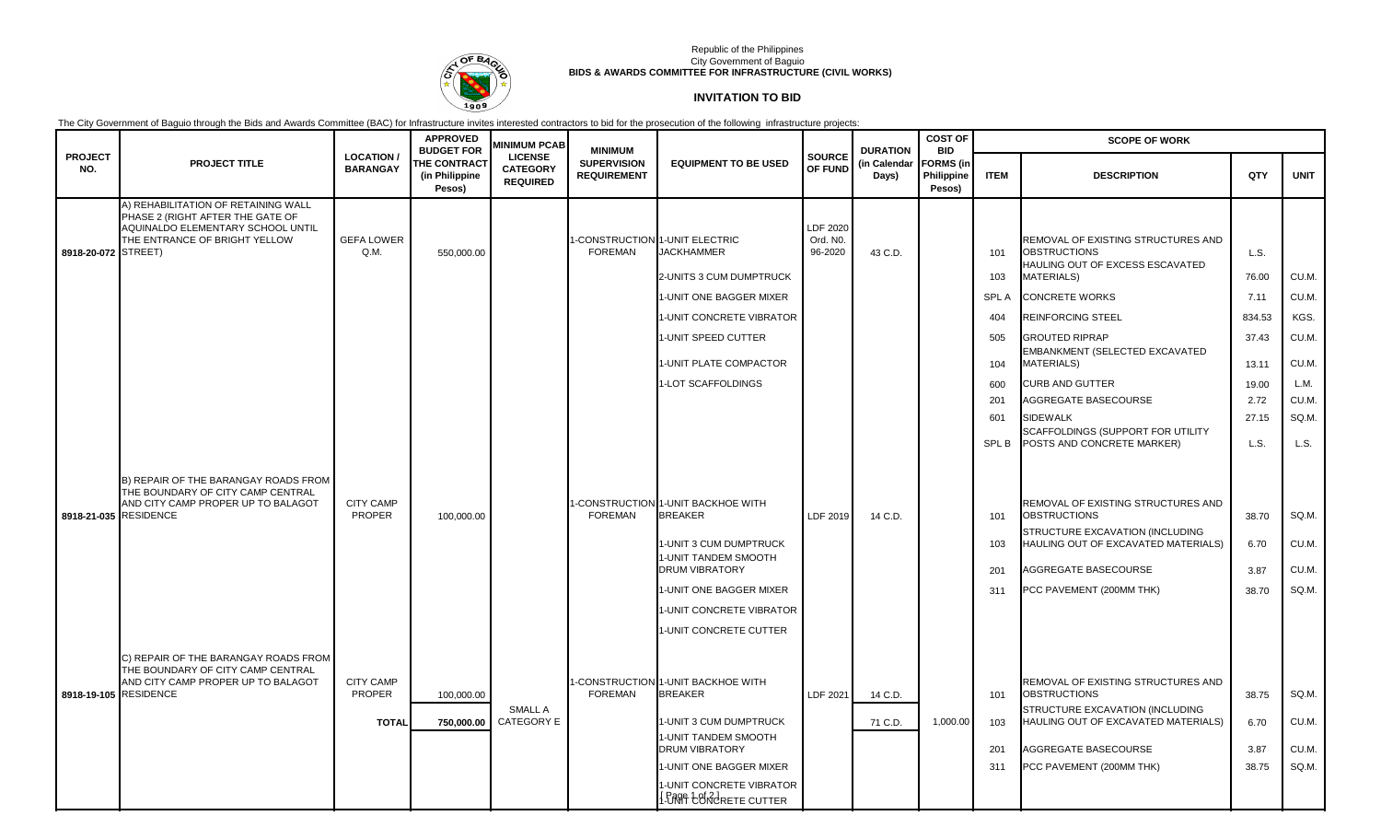

### Republic of the Philippines City Government of Baguio **BIDS & AWARDS COMMITTEE FOR INFRASTRUCTURE (CIVIL WORKS)**

# **INVITATION TO BID**

The City Government of Baguio through the Bids and Awards Committee (BAC) for Infrastructure invites interested contractors to bid for the prosecution of the following infrastructure projects:

|                       | <b>PROJECT TITLE</b>                                                                                                                          | <b>LOCATION/</b><br><b>BARANGAY</b> | <b>APPROVED</b><br><b>BUDGET FOR</b><br><b>THE CONTRACT</b><br>(in Philippine<br>Pesos) | <b>MINIMUM PCAB</b><br><b>LICENSE</b><br><b>CATEGORY</b><br><b>REQUIRED</b> | <b>MINIMUM</b><br><b>SUPERVISION</b><br><b>REQUIREMENT</b> | <b>EQUIPMENT TO BE USED</b>                                                  | <b>SOURCE</b><br>OF FUND        | <b>DURATION</b><br>(in Calendar<br>Days) | <b>COST OF</b><br><b>BID</b><br><b>FORMS</b> (in<br>Philippine<br>Pesos) | <b>SCOPE OF WORK</b> |                                                                                                                   |               |             |
|-----------------------|-----------------------------------------------------------------------------------------------------------------------------------------------|-------------------------------------|-----------------------------------------------------------------------------------------|-----------------------------------------------------------------------------|------------------------------------------------------------|------------------------------------------------------------------------------|---------------------------------|------------------------------------------|--------------------------------------------------------------------------|----------------------|-------------------------------------------------------------------------------------------------------------------|---------------|-------------|
| <b>PROJECT</b><br>NO. |                                                                                                                                               |                                     |                                                                                         |                                                                             |                                                            |                                                                              |                                 |                                          |                                                                          | <b>ITEM</b>          | <b>DESCRIPTION</b>                                                                                                | QTY           | <b>UNIT</b> |
| 8918-20-072 STREET)   | A) REHABILITATION OF RETAINING WALL<br>PHASE 2 (RIGHT AFTER THE GATE OF<br>AQUINALDO ELEMENTARY SCHOOL UNTIL<br>THE ENTRANCE OF BRIGHT YELLOW | <b>GEFA LOWER</b><br>Q.M.           | 550,000.00                                                                              |                                                                             | <b>FOREMAN</b>                                             | CONSTRUCTION 1-UNIT ELECTRIC<br><b>JACKHAMMER</b><br>2-UNITS 3 CUM DUMPTRUCK | LDF 2020<br>Ord. NO.<br>96-2020 | 43 C.D.                                  |                                                                          | 101<br>103           | REMOVAL OF EXISTING STRUCTURES AND<br><b>OBSTRUCTIONS</b><br>HAULING OUT OF EXCESS ESCAVATED<br><b>MATERIALS)</b> | L.S.<br>76.00 | CU.M.       |
|                       |                                                                                                                                               |                                     |                                                                                         |                                                                             |                                                            | 1-UNIT ONE BAGGER MIXER                                                      |                                 |                                          |                                                                          | <b>SPLA</b>          | <b>CONCRETE WORKS</b>                                                                                             | 7.11          | CU.M.       |
|                       |                                                                                                                                               |                                     |                                                                                         |                                                                             |                                                            | <b>I-UNIT CONCRETE VIBRATOR</b>                                              |                                 |                                          |                                                                          | 404                  | <b>REINFORCING STEEL</b>                                                                                          | 834.53        | KGS.        |
|                       |                                                                                                                                               |                                     |                                                                                         |                                                                             |                                                            | 1-UNIT SPEED CUTTER                                                          |                                 |                                          |                                                                          | 505                  | <b>GROUTED RIPRAP</b>                                                                                             | 37.43         | CU.M.       |
|                       |                                                                                                                                               |                                     |                                                                                         |                                                                             |                                                            | 1-UNIT PLATE COMPACTOR                                                       |                                 |                                          |                                                                          | 104                  | EMBANKMENT (SELECTED EXCAVATED<br><b>MATERIALS)</b>                                                               | 13.11         | CU.M.       |
|                       |                                                                                                                                               |                                     |                                                                                         |                                                                             |                                                            | I-LOT SCAFFOLDINGS                                                           |                                 |                                          |                                                                          | 600                  | <b>CURB AND GUTTER</b>                                                                                            | 19.00         | L.M.        |
|                       |                                                                                                                                               |                                     |                                                                                         |                                                                             |                                                            |                                                                              |                                 |                                          |                                                                          | 201                  | AGGREGATE BASECOURSE                                                                                              | 2.72          | CU.M.       |
|                       |                                                                                                                                               |                                     |                                                                                         |                                                                             |                                                            |                                                                              |                                 |                                          |                                                                          | 601                  | <b>SIDEWALK</b><br>SCAFFOLDINGS (SUPPORT FOR UTILITY                                                              | 27.15         | SQ.M.       |
|                       |                                                                                                                                               |                                     |                                                                                         |                                                                             |                                                            |                                                                              |                                 |                                          |                                                                          | <b>SPL B</b>         | POSTS AND CONCRETE MARKER)                                                                                        | L.S.          | L.S.        |
| 8918-21-035 RESIDENCE | B) REPAIR OF THE BARANGAY ROADS FROM<br>THE BOUNDARY OF CITY CAMP CENTRAL<br>AND CITY CAMP PROPER UP TO BALAGOT                               | <b>CITY CAMP</b><br><b>PROPER</b>   | 100,000.00                                                                              |                                                                             | <b>FOREMAN</b>                                             | -CONSTRUCTION 1-UNIT BACKHOE WITH<br><b>BREAKER</b>                          | LDF 2019                        | 14 C.D.                                  |                                                                          | 101                  | REMOVAL OF EXISTING STRUCTURES AND<br><b>OBSTRUCTIONS</b>                                                         | 38.70         | SQ.M.       |
|                       |                                                                                                                                               |                                     |                                                                                         |                                                                             |                                                            | 1-UNIT 3 CUM DUMPTRUCK<br>I-UNIT TANDEM SMOOTH                               |                                 |                                          |                                                                          | 103                  | STRUCTURE EXCAVATION (INCLUDING<br>HAULING OUT OF EXCAVATED MATERIALS)                                            | 6.70          | CU.M.       |
|                       |                                                                                                                                               |                                     |                                                                                         |                                                                             |                                                            | <b>DRUM VIBRATORY</b>                                                        |                                 |                                          |                                                                          | 201                  | AGGREGATE BASECOURSE                                                                                              | 3.87          | CU.M.       |
|                       |                                                                                                                                               |                                     |                                                                                         |                                                                             |                                                            | <b>I-UNIT ONE BAGGER MIXER</b>                                               |                                 |                                          |                                                                          | 311                  | PCC PAVEMENT (200MM THK)                                                                                          | 38.70         | SQ.M.       |
|                       |                                                                                                                                               |                                     |                                                                                         |                                                                             |                                                            | <b>I-UNIT CONCRETE VIBRATOR</b><br><b>I-UNIT CONCRETE CUTTER</b>             |                                 |                                          |                                                                          |                      |                                                                                                                   |               |             |
|                       |                                                                                                                                               |                                     |                                                                                         |                                                                             |                                                            |                                                                              |                                 |                                          |                                                                          |                      |                                                                                                                   |               |             |
| 8918-19-105 RESIDENCE | C) REPAIR OF THE BARANGAY ROADS FROM<br>THE BOUNDARY OF CITY CAMP CENTRAL<br>AND CITY CAMP PROPER UP TO BALAGOT                               | <b>CITY CAMP</b><br><b>PROPER</b>   | 100,000.00                                                                              | SMALL A                                                                     | <b>FOREMAN</b>                                             | -CONSTRUCTION 1-UNIT BACKHOE WITH<br><b>BREAKER</b>                          | LDF 2021                        | 14 C.D.                                  |                                                                          | 101                  | REMOVAL OF EXISTING STRUCTURES AND<br><b>OBSTRUCTIONS</b><br>STRUCTURE EXCAVATION (INCLUDING                      | 38.75         | SQ.M.       |
|                       |                                                                                                                                               | <b>TOTAL</b>                        | 750,000.00                                                                              | CATEGORY E                                                                  |                                                            | 1-UNIT 3 CUM DUMPTRUCK                                                       |                                 | 71 C.D.                                  | 1,000.00                                                                 | 103                  | HAULING OUT OF EXCAVATED MATERIALS)                                                                               | 6.70          | CU.M.       |
|                       |                                                                                                                                               |                                     |                                                                                         |                                                                             |                                                            | 1-UNIT TANDEM SMOOTH<br><b>DRUM VIBRATORY</b>                                |                                 |                                          |                                                                          | 201                  | AGGREGATE BASECOURSE                                                                                              | 3.87          | CU.M.       |
|                       |                                                                                                                                               |                                     |                                                                                         |                                                                             |                                                            | I-UNIT ONE BAGGER MIXER                                                      |                                 |                                          |                                                                          | 311                  | PCC PAVEMENT (200MM THK)                                                                                          | 38.75         | SQ.M.       |
|                       |                                                                                                                                               |                                     |                                                                                         |                                                                             |                                                            | I-UNIT CONCRETE VIBRATOR<br><b>I DANT CONCRETE CUTTER</b>                    |                                 |                                          |                                                                          |                      |                                                                                                                   |               |             |